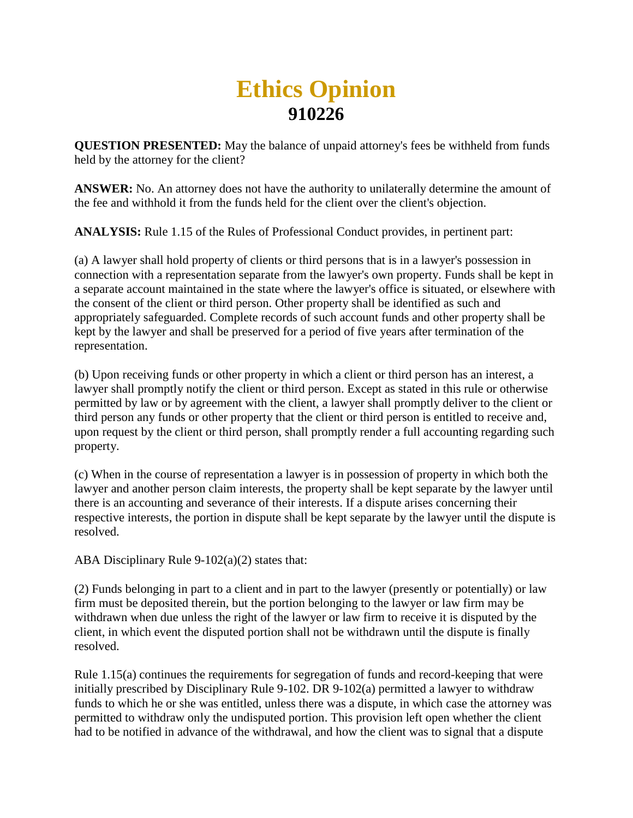## **Ethics Opinion 910226**

**QUESTION PRESENTED:** May the balance of unpaid attorney's fees be withheld from funds held by the attorney for the client?

**ANSWER:** No. An attorney does not have the authority to unilaterally determine the amount of the fee and withhold it from the funds held for the client over the client's objection.

**ANALYSIS:** Rule 1.15 of the Rules of Professional Conduct provides, in pertinent part:

(a) A lawyer shall hold property of clients or third persons that is in a lawyer's possession in connection with a representation separate from the lawyer's own property. Funds shall be kept in a separate account maintained in the state where the lawyer's office is situated, or elsewhere with the consent of the client or third person. Other property shall be identified as such and appropriately safeguarded. Complete records of such account funds and other property shall be kept by the lawyer and shall be preserved for a period of five years after termination of the representation.

(b) Upon receiving funds or other property in which a client or third person has an interest, a lawyer shall promptly notify the client or third person. Except as stated in this rule or otherwise permitted by law or by agreement with the client, a lawyer shall promptly deliver to the client or third person any funds or other property that the client or third person is entitled to receive and, upon request by the client or third person, shall promptly render a full accounting regarding such property.

(c) When in the course of representation a lawyer is in possession of property in which both the lawyer and another person claim interests, the property shall be kept separate by the lawyer until there is an accounting and severance of their interests. If a dispute arises concerning their respective interests, the portion in dispute shall be kept separate by the lawyer until the dispute is resolved.

ABA Disciplinary Rule 9-102(a)(2) states that:

(2) Funds belonging in part to a client and in part to the lawyer (presently or potentially) or law firm must be deposited therein, but the portion belonging to the lawyer or law firm may be withdrawn when due unless the right of the lawyer or law firm to receive it is disputed by the client, in which event the disputed portion shall not be withdrawn until the dispute is finally resolved.

Rule 1.15(a) continues the requirements for segregation of funds and record-keeping that were initially prescribed by Disciplinary Rule 9-102. DR 9-102(a) permitted a lawyer to withdraw funds to which he or she was entitled, unless there was a dispute, in which case the attorney was permitted to withdraw only the undisputed portion. This provision left open whether the client had to be notified in advance of the withdrawal, and how the client was to signal that a dispute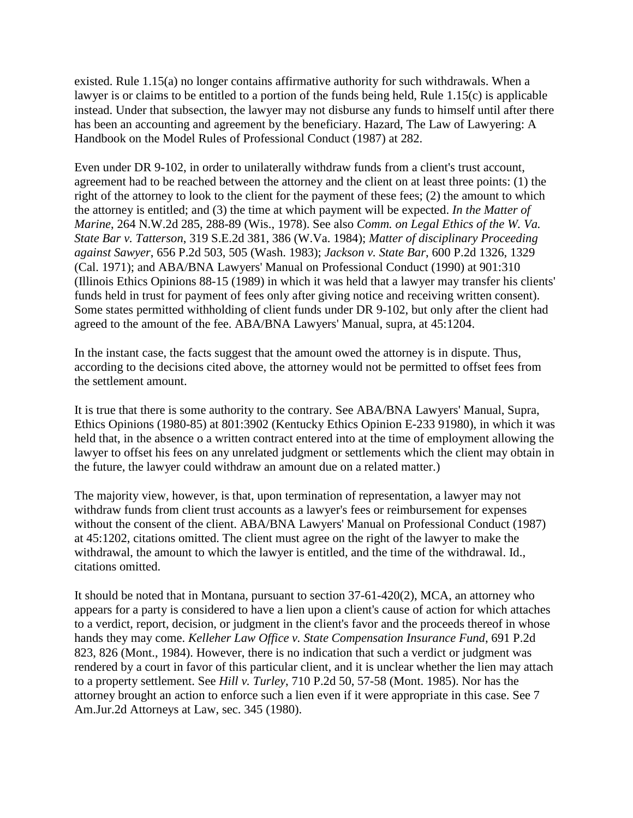existed. Rule 1.15(a) no longer contains affirmative authority for such withdrawals. When a lawyer is or claims to be entitled to a portion of the funds being held, Rule 1.15(c) is applicable instead. Under that subsection, the lawyer may not disburse any funds to himself until after there has been an accounting and agreement by the beneficiary. Hazard, The Law of Lawyering: A Handbook on the Model Rules of Professional Conduct (1987) at 282.

Even under DR 9-102, in order to unilaterally withdraw funds from a client's trust account, agreement had to be reached between the attorney and the client on at least three points: (1) the right of the attorney to look to the client for the payment of these fees; (2) the amount to which the attorney is entitled; and (3) the time at which payment will be expected. *In the Matter of Marine*, 264 N.W.2d 285, 288-89 (Wis., 1978). See also *Comm. on Legal Ethics of the W. Va. State Bar v. Tatterson*, 319 S.E.2d 381, 386 (W.Va. 1984); *Matter of disciplinary Proceeding against Sawyer*, 656 P.2d 503, 505 (Wash. 1983); *Jackson v. State Bar*, 600 P.2d 1326, 1329 (Cal. 1971); and ABA/BNA Lawyers' Manual on Professional Conduct (1990) at 901:310 (Illinois Ethics Opinions 88-15 (1989) in which it was held that a lawyer may transfer his clients' funds held in trust for payment of fees only after giving notice and receiving written consent). Some states permitted withholding of client funds under DR 9-102, but only after the client had agreed to the amount of the fee. ABA/BNA Lawyers' Manual, supra, at 45:1204.

In the instant case, the facts suggest that the amount owed the attorney is in dispute. Thus, according to the decisions cited above, the attorney would not be permitted to offset fees from the settlement amount.

It is true that there is some authority to the contrary. See ABA/BNA Lawyers' Manual, Supra, Ethics Opinions (1980-85) at 801:3902 (Kentucky Ethics Opinion E-233 91980), in which it was held that, in the absence o a written contract entered into at the time of employment allowing the lawyer to offset his fees on any unrelated judgment or settlements which the client may obtain in the future, the lawyer could withdraw an amount due on a related matter.)

The majority view, however, is that, upon termination of representation, a lawyer may not withdraw funds from client trust accounts as a lawyer's fees or reimbursement for expenses without the consent of the client. ABA/BNA Lawyers' Manual on Professional Conduct (1987) at 45:1202, citations omitted. The client must agree on the right of the lawyer to make the withdrawal, the amount to which the lawyer is entitled, and the time of the withdrawal. Id., citations omitted.

It should be noted that in Montana, pursuant to section 37-61-420(2), MCA, an attorney who appears for a party is considered to have a lien upon a client's cause of action for which attaches to a verdict, report, decision, or judgment in the client's favor and the proceeds thereof in whose hands they may come. *Kelleher Law Office v. State Compensation Insurance Fund*, 691 P.2d 823, 826 (Mont., 1984). However, there is no indication that such a verdict or judgment was rendered by a court in favor of this particular client, and it is unclear whether the lien may attach to a property settlement. See *Hill v. Turley*, 710 P.2d 50, 57-58 (Mont. 1985). Nor has the attorney brought an action to enforce such a lien even if it were appropriate in this case. See 7 Am.Jur.2d Attorneys at Law, sec. 345 (1980).